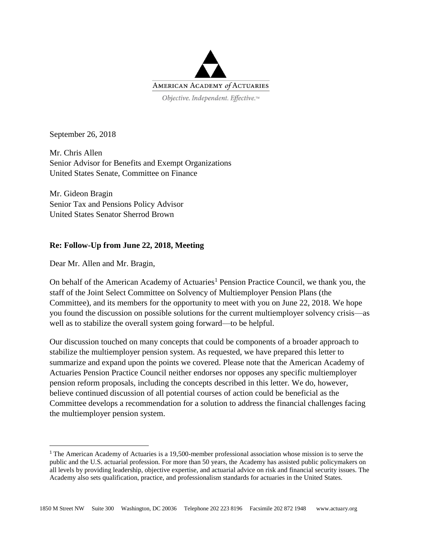

September 26, 2018

Mr. Chris Allen Senior Advisor for Benefits and Exempt Organizations United States Senate, Committee on Finance

Mr. Gideon Bragin Senior Tax and Pensions Policy Advisor United States Senator Sherrod Brown

### **Re: Follow-Up from June 22, 2018, Meeting**

Dear Mr. Allen and Mr. Bragin,

 $\overline{a}$ 

On behalf of the American Academy of Actuaries<sup>1</sup> Pension Practice Council, we thank you, the staff of the Joint Select Committee on Solvency of Multiemployer Pension Plans (the Committee), and its members for the opportunity to meet with you on June 22, 2018. We hope you found the discussion on possible solutions for the current multiemployer solvency crisis—as well as to stabilize the overall system going forward—to be helpful.

Our discussion touched on many concepts that could be components of a broader approach to stabilize the multiemployer pension system. As requested, we have prepared this letter to summarize and expand upon the points we covered. Please note that the American Academy of Actuaries Pension Practice Council neither endorses nor opposes any specific multiemployer pension reform proposals, including the concepts described in this letter. We do, however, believe continued discussion of all potential courses of action could be beneficial as the Committee develops a recommendation for a solution to address the financial challenges facing the multiemployer pension system.

<sup>1</sup> The American Academy of Actuaries is a 19,500-member professional association whose mission is to serve the public and the U.S. actuarial profession. For more than 50 years, the Academy has assisted public policymakers on all levels by providing leadership, objective expertise, and actuarial advice on risk and financial security issues. The Academy also sets qualification, practice, and professionalism standards for actuaries in the United States.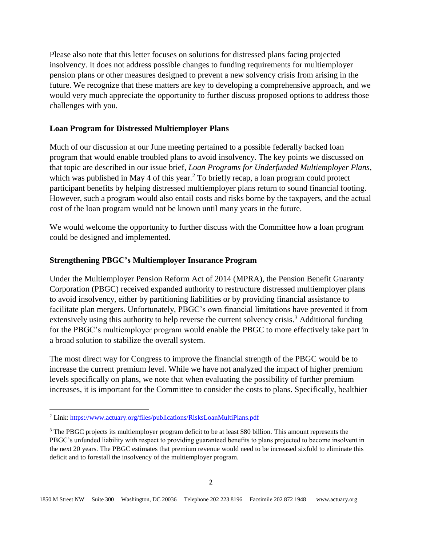Please also note that this letter focuses on solutions for distressed plans facing projected insolvency. It does not address possible changes to funding requirements for multiemployer pension plans or other measures designed to prevent a new solvency crisis from arising in the future. We recognize that these matters are key to developing a comprehensive approach, and we would very much appreciate the opportunity to further discuss proposed options to address those challenges with you.

## **Loan Program for Distressed Multiemployer Plans**

Much of our discussion at our June meeting pertained to a possible federally backed loan program that would enable troubled plans to avoid insolvency. The key points we discussed on that topic are described in our issue brief, *[Loan Programs for Underfunded Multiemployer Plans](https://www.actuary.org/files/publications/RisksLoanMultiPlans.pdf)*, which was published in May 4 of this year.<sup>2</sup> To briefly recap, a loan program could protect participant benefits by helping distressed multiemployer plans return to sound financial footing. However, such a program would also entail costs and risks borne by the taxpayers, and the actual cost of the loan program would not be known until many years in the future.

We would welcome the opportunity to further discuss with the Committee how a loan program could be designed and implemented.

# **Strengthening PBGC's Multiemployer Insurance Program**

Under the Multiemployer Pension Reform Act of 2014 (MPRA), the Pension Benefit Guaranty Corporation (PBGC) received expanded authority to restructure distressed multiemployer plans to avoid insolvency, either by partitioning liabilities or by providing financial assistance to facilitate plan mergers. Unfortunately, PBGC's own financial limitations have prevented it from extensively using this authority to help reverse the current solvency crisis.<sup>3</sup> Additional funding for the PBGC's multiemployer program would enable the PBGC to more effectively take part in a broad solution to stabilize the overall system.

The most direct way for Congress to improve the financial strength of the PBGC would be to increase the current premium level. While we have not analyzed the impact of higher premium levels specifically on plans, we note that when evaluating the possibility of further premium increases, it is important for the Committee to consider the costs to plans. Specifically, healthier

 $\overline{a}$ 

<sup>2</sup> Link:<https://www.actuary.org/files/publications/RisksLoanMultiPlans.pdf>

<sup>&</sup>lt;sup>3</sup> The PBGC projects its multiemployer program deficit to be at least \$80 billion. This amount represents the PBGC's unfunded liability with respect to providing guaranteed benefits to plans projected to become insolvent in the next 20 years. The PBGC estimates that premium revenue would need to be increased sixfold to eliminate this deficit and to forestall the insolvency of the multiemployer program.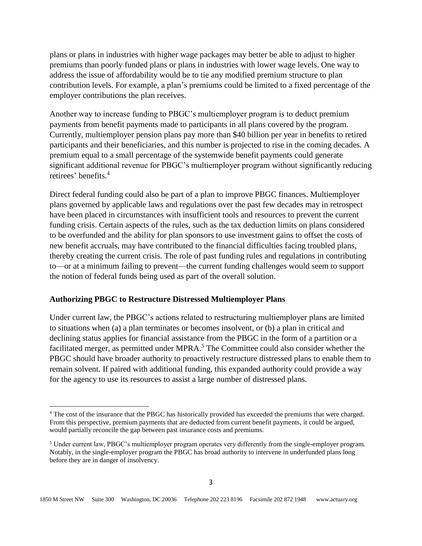plans or plans in industries with higher wage packages may better be able to adjust to higher premiums than poorly funded plans or plans in industries with lower wage levels. One way to address the issue of affordability would be to tie any modified premium structure to plan contribution levels. For example, a plan's premiums could be limited to a fixed percentage of the employer contributions the plan receives.

Another way to increase funding to PBGC's multiemployer program is to deduct premium payments from benefit payments made to participants in all plans covered by the program. Currently, multiemployer pension plans pay more than \$40 billion per year in benefits to retired participants and their beneficiaries, and this number is projected to rise in the coming decades. A premium equal to a small percentage of the systemwide benefit payments could generate significant additional revenue for PBGC's multiemployer program without significantly reducing retirees' benefits. 4

Direct federal funding could also be part of a plan to improve PBGC finances. Multiemployer plans governed by applicable laws and regulations over the past few decades may in retrospect have been placed in circumstances with insufficient tools and resources to prevent the current funding crisis. Certain aspects of the rules, such as the tax deduction limits on plans considered to be overfunded and the ability for plan sponsors to use investment gains to offset the costs of new benefit accruals, may have contributed to the financial difficulties facing troubled plans, thereby creating the current crisis. The role of past funding rules and regulations in contributing to—or at a minimum failing to prevent—the current funding challenges would seem to support the notion of federal funds being used as part of the overall solution.

### **Authorizing PBGC to Restructure Distressed Multiemployer Plans**

 $\overline{a}$ 

Under current law, the PBGC's actions related to restructuring multiemployer plans are limited to situations when (a) a plan terminates or becomes insolvent, or (b) a plan in critical and declining status applies for financial assistance from the PBGC in the form of a partition or a facilitated merger, as permitted under MPRA.<sup>5</sup> The Committee could also consider whether the PBGC should have broader authority to proactively restructure distressed plans to enable them to remain solvent. If paired with additional funding, this expanded authority could provide a way for the agency to use its resources to assist a large number of distressed plans.

<sup>4</sup> The cost of the insurance that the PBGC has historically provided has exceeded the premiums that were charged. From this perspective, premium payments that are deducted from current benefit payments, it could be argued, would partially reconcile the gap between past insurance costs and premiums.

<sup>5</sup> Under current law, PBGC's multiemployer program operates very differently from the single-employer program. Notably, in the single-employer program the PBGC has broad authority to intervene in underfunded plans long before they are in danger of insolvency.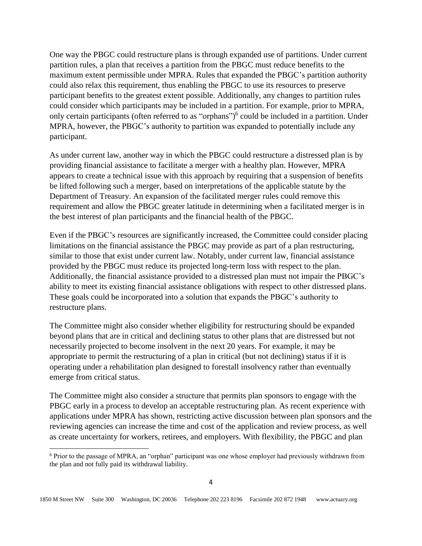One way the PBGC could restructure plans is through expanded use of partitions. Under current partition rules, a plan that receives a partition from the PBGC must reduce benefits to the maximum extent permissible under MPRA. Rules that expanded the PBGC's partition authority could also relax this requirement, thus enabling the PBGC to use its resources to preserve participant benefits to the greatest extent possible. Additionally, any changes to partition rules could consider which participants may be included in a partition. For example, prior to MPRA, only certain participants (often referred to as "orphans") 6 could be included in a partition. Under MPRA, however, the PBGC's authority to partition was expanded to potentially include any participant.

As under current law, another way in which the PBGC could restructure a distressed plan is by providing financial assistance to facilitate a merger with a healthy plan. However, MPRA appears to create a technical issue with this approach by requiring that a suspension of benefits be lifted following such a merger, based on interpretations of the applicable statute by the Department of Treasury. An expansion of the facilitated merger rules could remove this requirement and allow the PBGC greater latitude in determining when a facilitated merger is in the best interest of plan participants and the financial health of the PBGC.

Even if the PBGC's resources are significantly increased, the Committee could consider placing limitations on the financial assistance the PBGC may provide as part of a plan restructuring, similar to those that exist under current law. Notably, under current law, financial assistance provided by the PBGC must reduce its projected long-term loss with respect to the plan. Additionally, the financial assistance provided to a distressed plan must not impair the PBGC's ability to meet its existing financial assistance obligations with respect to other distressed plans. These goals could be incorporated into a solution that expands the PBGC's authority to restructure plans.

The Committee might also consider whether eligibility for restructuring should be expanded beyond plans that are in critical and declining status to other plans that are distressed but not necessarily projected to become insolvent in the next 20 years. For example, it may be appropriate to permit the restructuring of a plan in critical (but not declining) status if it is operating under a rehabilitation plan designed to forestall insolvency rather than eventually emerge from critical status.

The Committee might also consider a structure that permits plan sponsors to engage with the PBGC early in a process to develop an acceptable restructuring plan. As recent experience with applications under MPRA has shown, restricting active discussion between plan sponsors and the reviewing agencies can increase the time and cost of the application and review process, as well as create uncertainty for workers, retirees, and employers. With flexibility, the PBGC and plan

 $\overline{a}$ 

<sup>6</sup> Prior to the passage of MPRA, an "orphan" participant was one whose employer had previously withdrawn from the plan and not fully paid its withdrawal liability.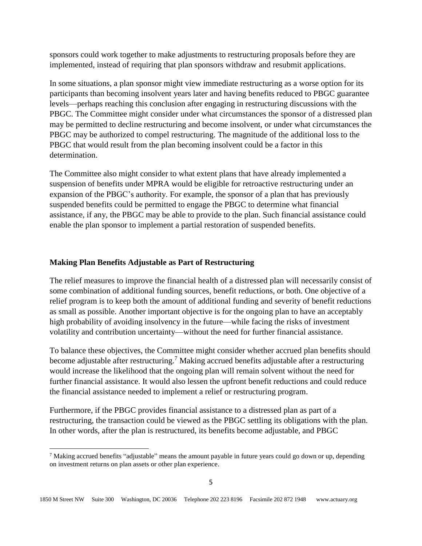sponsors could work together to make adjustments to restructuring proposals before they are implemented, instead of requiring that plan sponsors withdraw and resubmit applications.

In some situations, a plan sponsor might view immediate restructuring as a worse option for its participants than becoming insolvent years later and having benefits reduced to PBGC guarantee levels—perhaps reaching this conclusion after engaging in restructuring discussions with the PBGC. The Committee might consider under what circumstances the sponsor of a distressed plan may be permitted to decline restructuring and become insolvent, or under what circumstances the PBGC may be authorized to compel restructuring. The magnitude of the additional loss to the PBGC that would result from the plan becoming insolvent could be a factor in this determination.

The Committee also might consider to what extent plans that have already implemented a suspension of benefits under MPRA would be eligible for retroactive restructuring under an expansion of the PBGC's authority. For example, the sponsor of a plan that has previously suspended benefits could be permitted to engage the PBGC to determine what financial assistance, if any, the PBGC may be able to provide to the plan. Such financial assistance could enable the plan sponsor to implement a partial restoration of suspended benefits.

### **Making Plan Benefits Adjustable as Part of Restructuring**

 $\overline{a}$ 

The relief measures to improve the financial health of a distressed plan will necessarily consist of some combination of additional funding sources, benefit reductions, or both. One objective of a relief program is to keep both the amount of additional funding and severity of benefit reductions as small as possible. Another important objective is for the ongoing plan to have an acceptably high probability of avoiding insolvency in the future—while facing the risks of investment volatility and contribution uncertainty—without the need for further financial assistance.

To balance these objectives, the Committee might consider whether accrued plan benefits should become adjustable after restructuring.<sup>7</sup> Making accrued benefits adjustable after a restructuring would increase the likelihood that the ongoing plan will remain solvent without the need for further financial assistance. It would also lessen the upfront benefit reductions and could reduce the financial assistance needed to implement a relief or restructuring program.

Furthermore, if the PBGC provides financial assistance to a distressed plan as part of a restructuring, the transaction could be viewed as the PBGC settling its obligations with the plan. In other words, after the plan is restructured, its benefits become adjustable, and PBGC

<sup>&</sup>lt;sup>7</sup> Making accrued benefits "adjustable" means the amount payable in future years could go down or up, depending on investment returns on plan assets or other plan experience.